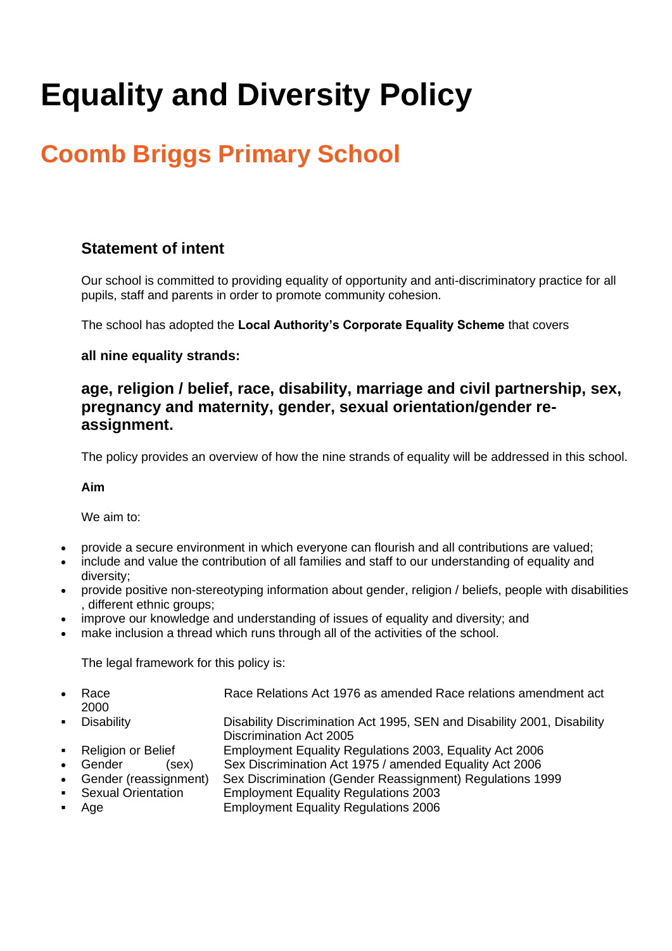# **Equality and Diversity Policy**

# **Coomb Briggs Primary School**

# **Statement of intent**

Our school is committed to providing equality of opportunity and anti-discriminatory practice for all pupils, staff and parents in order to promote community cohesion.

The school has adopted the **Local Authority's Corporate Equality Scheme** that covers

#### **all nine equality strands:**

## **age, religion / belief, race, disability, marriage and civil partnership, sex, pregnancy and maternity, gender, sexual orientation/gender reassignment.**

The policy provides an overview of how the nine strands of equality will be addressed in this school.

#### **Aim**

We aim to:

- provide a secure environment in which everyone can flourish and all contributions are valued;
- include and value the contribution of all families and staff to our understanding of equality and diversity;
- provide positive non-stereotyping information about gender, religion / beliefs, people with disabilities , different ethnic groups;
- improve our knowledge and understanding of issues of equality and diversity; and
- make inclusion a thread which runs through all of the activities of the school.

The legal framework for this policy is:

| $\bullet$      | Race                    | Race Relations Act 1976 as amended Race relations amendment act         |  |  |  |  |
|----------------|-------------------------|-------------------------------------------------------------------------|--|--|--|--|
|                | 2000                    |                                                                         |  |  |  |  |
| $\blacksquare$ | <b>Disability</b>       | Disability Discrimination Act 1995, SEN and Disability 2001, Disability |  |  |  |  |
|                |                         | <b>Discrimination Act 2005</b>                                          |  |  |  |  |
|                | • Religion or Belief    | Employment Equality Regulations 2003, Equality Act 2006                 |  |  |  |  |
|                | • Gender<br>(sex).      | Sex Discrimination Act 1975 / amended Equality Act 2006                 |  |  |  |  |
|                | • Gender (reassignment) | Sex Discrimination (Gender Reassignment) Regulations 1999               |  |  |  |  |
|                | • Sexual Orientation    | <b>Employment Equality Regulations 2003</b>                             |  |  |  |  |
| $\blacksquare$ | Age                     | <b>Employment Equality Regulations 2006</b>                             |  |  |  |  |
|                |                         |                                                                         |  |  |  |  |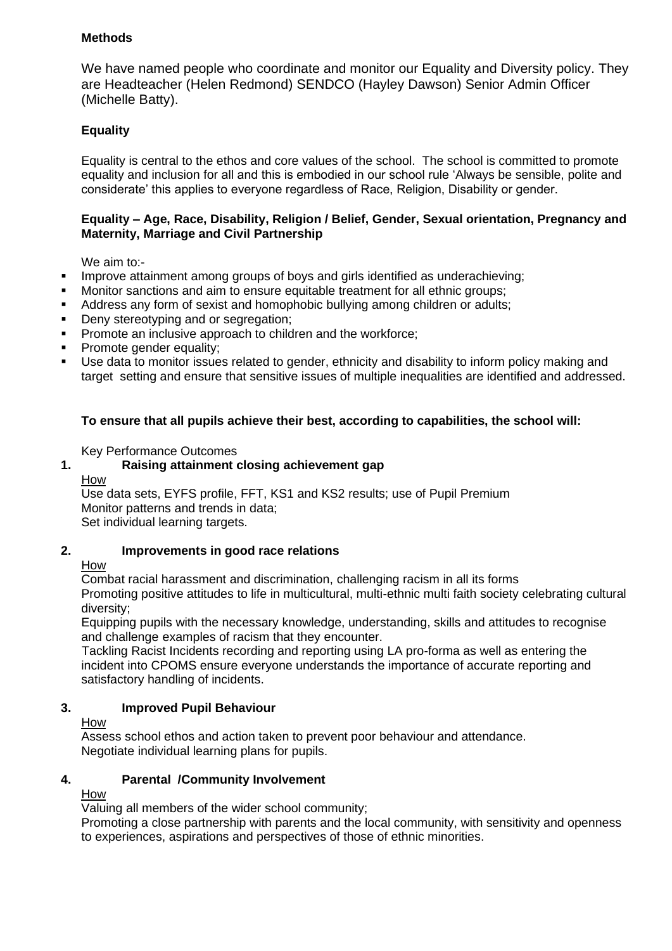#### **Methods**

We have named people who coordinate and monitor our Equality and Diversity policy. They are Headteacher (Helen Redmond) SENDCO (Hayley Dawson) Senior Admin Officer (Michelle Batty).

#### **Equality**

Equality is central to the ethos and core values of the school. The school is committed to promote equality and inclusion for all and this is embodied in our school rule 'Always be sensible, polite and considerate' this applies to everyone regardless of Race, Religion, Disability or gender.

#### **Equality – Age, Race, Disability, Religion / Belief, Gender, Sexual orientation, Pregnancy and Maternity, Marriage and Civil Partnership**

We aim to:-

- Improve attainment among groups of boys and girls identified as underachieving;
- Monitor sanctions and aim to ensure equitable treatment for all ethnic groups;
- Address any form of sexist and homophobic bullying among children or adults;
- **•** Deny stereotyping and or segregation;
- Promote an inclusive approach to children and the workforce;
- Promote gender equality;
- Use data to monitor issues related to gender, ethnicity and disability to inform policy making and target setting and ensure that sensitive issues of multiple inequalities are identified and addressed.

#### **To ensure that all pupils achieve their best, according to capabilities, the school will:**

Key Performance Outcomes

# **1. Raising attainment closing achievement gap**

How

Use data sets, EYFS profile, FFT, KS1 and KS2 results; use of Pupil Premium Monitor patterns and trends in data; Set individual learning targets.

#### **2. Improvements in good race relations**

#### How

 Combat racial harassment and discrimination, challenging racism in all its forms Promoting positive attitudes to life in multicultural, multi-ethnic multi faith society celebrating cultural diversity;

Equipping pupils with the necessary knowledge, understanding, skills and attitudes to recognise and challenge examples of racism that they encounter.

 Tackling Racist Incidents recording and reporting using LA pro-forma as well as entering the incident into CPOMS ensure everyone understands the importance of accurate reporting and satisfactory handling of incidents.

#### **3. Improved Pupil Behaviour**

#### How

Assess school ethos and action taken to prevent poor behaviour and attendance. Negotiate individual learning plans for pupils.

#### **4. Parental /Community Involvement**

How

Valuing all members of the wider school community;

Promoting a close partnership with parents and the local community, with sensitivity and openness to experiences, aspirations and perspectives of those of ethnic minorities.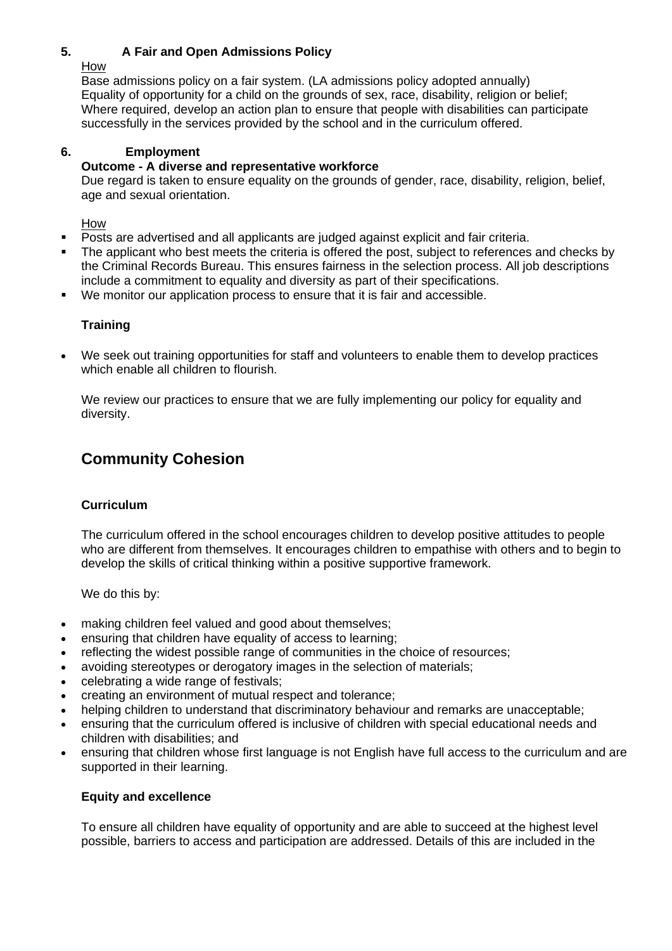#### **5. A Fair and Open Admissions Policy**

How

Base admissions policy on a fair system. (LA admissions policy adopted annually) Equality of opportunity for a child on the grounds of sex, race, disability, religion or belief; Where required, develop an action plan to ensure that people with disabilities can participate successfully in the services provided by the school and in the curriculum offered.

#### **6. Employment**

#### **Outcome - A diverse and representative workforce**

Due regard is taken to ensure equality on the grounds of gender, race, disability, religion, belief, age and sexual orientation.

How

- Posts are advertised and all applicants are judged against explicit and fair criteria.
- The applicant who best meets the criteria is offered the post, subject to references and checks by the Criminal Records Bureau. This ensures fairness in the selection process. All job descriptions include a commitment to equality and diversity as part of their specifications.
- We monitor our application process to ensure that it is fair and accessible.

#### **Training**

• We seek out training opportunities for staff and volunteers to enable them to develop practices which enable all children to flourish.

We review our practices to ensure that we are fully implementing our policy for equality and diversity.

# **Community Cohesion**

#### **Curriculum**

The curriculum offered in the school encourages children to develop positive attitudes to people who are different from themselves. It encourages children to empathise with others and to begin to develop the skills of critical thinking within a positive supportive framework.

We do this by:

- making children feel valued and good about themselves;
- ensuring that children have equality of access to learning;
- reflecting the widest possible range of communities in the choice of resources;
- avoiding stereotypes or derogatory images in the selection of materials;
- celebrating a wide range of festivals;
- creating an environment of mutual respect and tolerance;
- helping children to understand that discriminatory behaviour and remarks are unacceptable;
- ensuring that the curriculum offered is inclusive of children with special educational needs and children with disabilities; and
- ensuring that children whose first language is not English have full access to the curriculum and are supported in their learning.

#### **Equity and excellence**

To ensure all children have equality of opportunity and are able to succeed at the highest level possible, barriers to access and participation are addressed. Details of this are included in the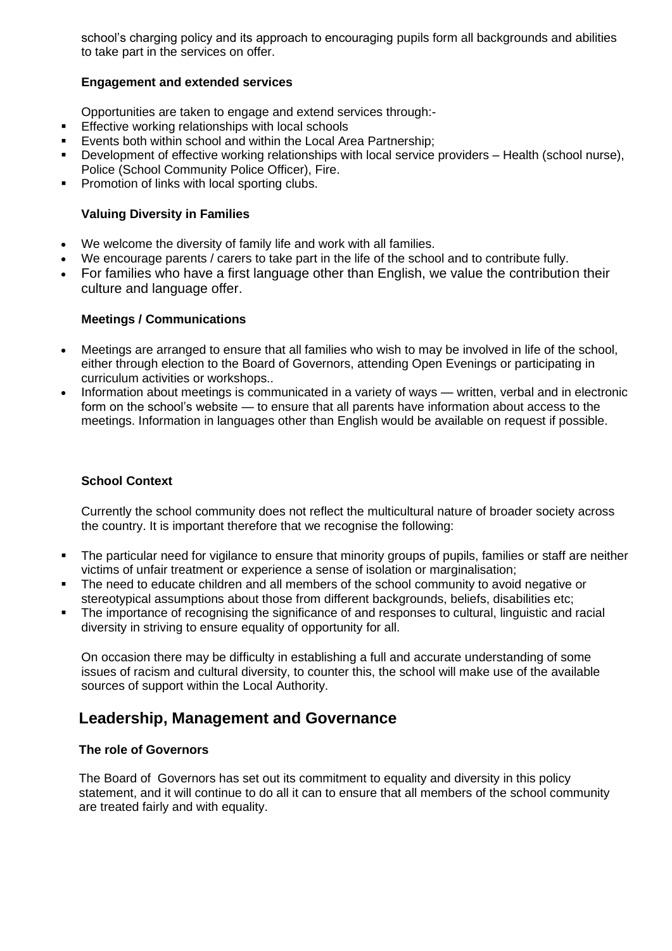school's charging policy and its approach to encouraging pupils form all backgrounds and abilities to take part in the services on offer.

#### **Engagement and extended services**

Opportunities are taken to engage and extend services through:-

- Effective working relationships with local schools
- Events both within school and within the Local Area Partnership;
- Development of effective working relationships with local service providers Health (school nurse), Police (School Community Police Officer), Fire.
- Promotion of links with local sporting clubs.

#### **Valuing Diversity in Families**

- We welcome the diversity of family life and work with all families.
- We encourage parents / carers to take part in the life of the school and to contribute fully.
- For families who have a first language other than English, we value the contribution their culture and language offer.

#### **Meetings / Communications**

- Meetings are arranged to ensure that all families who wish to may be involved in life of the school, either through election to the Board of Governors, attending Open Evenings or participating in curriculum activities or workshops..
- Information about meetings is communicated in a variety of ways written, verbal and in electronic form on the school's website — to ensure that all parents have information about access to the meetings. Information in languages other than English would be available on request if possible.

#### **School Context**

Currently the school community does not reflect the multicultural nature of broader society across the country. It is important therefore that we recognise the following:

- The particular need for vigilance to ensure that minority groups of pupils, families or staff are neither victims of unfair treatment or experience a sense of isolation or marginalisation;
- **•** The need to educate children and all members of the school community to avoid negative or stereotypical assumptions about those from different backgrounds, beliefs, disabilities etc;
- The importance of recognising the significance of and responses to cultural, linguistic and racial diversity in striving to ensure equality of opportunity for all.

On occasion there may be difficulty in establishing a full and accurate understanding of some issues of racism and cultural diversity, to counter this, the school will make use of the available sources of support within the Local Authority.

## **Leadership, Management and Governance**

#### **The role of Governors**

The Board of Governors has set out its commitment to equality and diversity in this policy statement, and it will continue to do all it can to ensure that all members of the school community are treated fairly and with equality.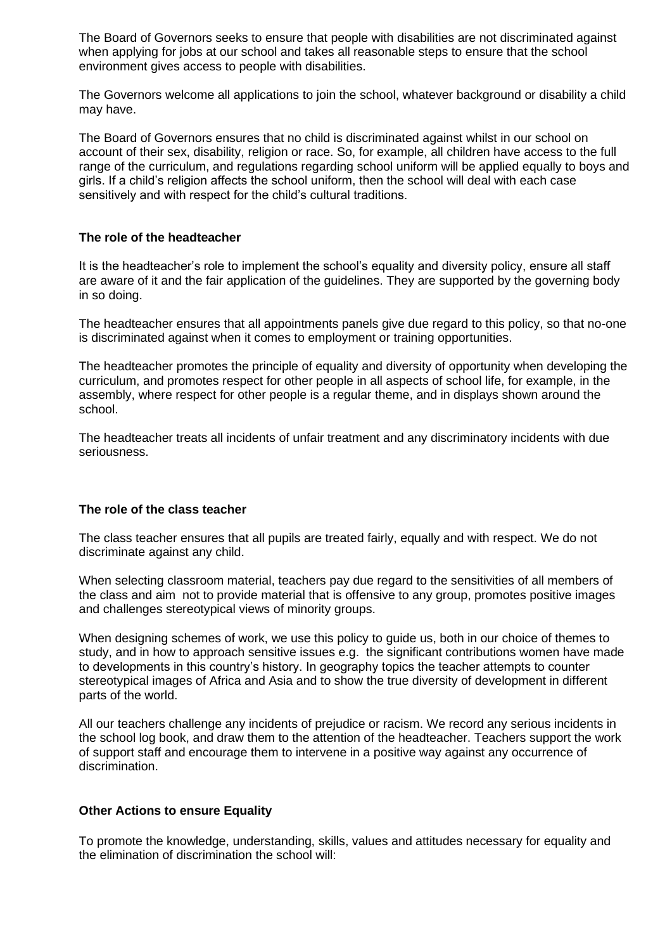The Board of Governors seeks to ensure that people with disabilities are not discriminated against when applying for jobs at our school and takes all reasonable steps to ensure that the school environment gives access to people with disabilities.

The Governors welcome all applications to join the school, whatever background or disability a child may have.

The Board of Governors ensures that no child is discriminated against whilst in our school on account of their sex, disability, religion or race. So, for example, all children have access to the full range of the curriculum, and regulations regarding school uniform will be applied equally to boys and girls. If a child's religion affects the school uniform, then the school will deal with each case sensitively and with respect for the child's cultural traditions.

#### **The role of the headteacher**

It is the headteacher's role to implement the school's equality and diversity policy, ensure all staff are aware of it and the fair application of the guidelines. They are supported by the governing body in so doing.

The headteacher ensures that all appointments panels give due regard to this policy, so that no-one is discriminated against when it comes to employment or training opportunities.

The headteacher promotes the principle of equality and diversity of opportunity when developing the curriculum, and promotes respect for other people in all aspects of school life, for example, in the assembly, where respect for other people is a regular theme, and in displays shown around the school.

The headteacher treats all incidents of unfair treatment and any discriminatory incidents with due seriousness.

#### **The role of the class teacher**

The class teacher ensures that all pupils are treated fairly, equally and with respect. We do not discriminate against any child.

When selecting classroom material, teachers pay due regard to the sensitivities of all members of the class and aim not to provide material that is offensive to any group, promotes positive images and challenges stereotypical views of minority groups.

When designing schemes of work, we use this policy to guide us, both in our choice of themes to study, and in how to approach sensitive issues e.g. the significant contributions women have made to developments in this country's history. In geography topics the teacher attempts to counter stereotypical images of Africa and Asia and to show the true diversity of development in different parts of the world.

All our teachers challenge any incidents of prejudice or racism. We record any serious incidents in the school log book, and draw them to the attention of the headteacher. Teachers support the work of support staff and encourage them to intervene in a positive way against any occurrence of discrimination.

#### **Other Actions to ensure Equality**

To promote the knowledge, understanding, skills, values and attitudes necessary for equality and the elimination of discrimination the school will: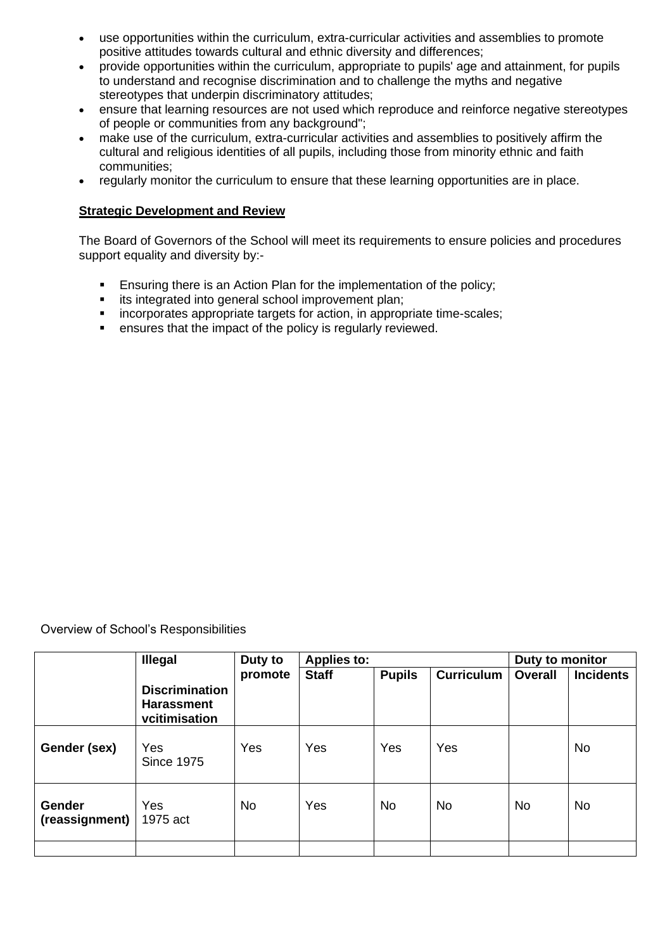- use opportunities within the curriculum, extra-curricular activities and assemblies to promote positive attitudes towards cultural and ethnic diversity and differences;
- provide opportunities within the curriculum, appropriate to pupils' age and attainment, for pupils to understand and recognise discrimination and to challenge the myths and negative stereotypes that underpin discriminatory attitudes;
- ensure that learning resources are not used which reproduce and reinforce negative stereotypes of people or communities from any background";
- make use of the curriculum, extra-curricular activities and assemblies to positively affirm the cultural and religious identities of all pupils, including those from minority ethnic and faith communities;
- regularly monitor the curriculum to ensure that these learning opportunities are in place.

#### **Strategic Development and Review**

The Board of Governors of the School will meet its requirements to ensure policies and procedures support equality and diversity by:-

- Ensuring there is an Action Plan for the implementation of the policy;
- its integrated into general school improvement plan;
- incorporates appropriate targets for action, in appropriate time-scales;
- ensures that the impact of the policy is regularly reviewed.

Overview of School's Responsibilities

|                          | <b>Illegal</b>                                              | Duty to<br>promote | <b>Applies to:</b> |               |                   | Duty to monitor |                  |
|--------------------------|-------------------------------------------------------------|--------------------|--------------------|---------------|-------------------|-----------------|------------------|
|                          |                                                             |                    | <b>Staff</b>       | <b>Pupils</b> | <b>Curriculum</b> | <b>Overall</b>  | <b>Incidents</b> |
|                          | <b>Discrimination</b><br><b>Harassment</b><br>vcitimisation |                    |                    |               |                   |                 |                  |
| Gender (sex)             | Yes<br><b>Since 1975</b>                                    | Yes                | Yes                | Yes           | Yes               |                 | <b>No</b>        |
| Gender<br>(reassignment) | Yes<br>1975 act                                             | <b>No</b>          | Yes                | No.           | <b>No</b>         | <b>No</b>       | <b>No</b>        |
|                          |                                                             |                    |                    |               |                   |                 |                  |